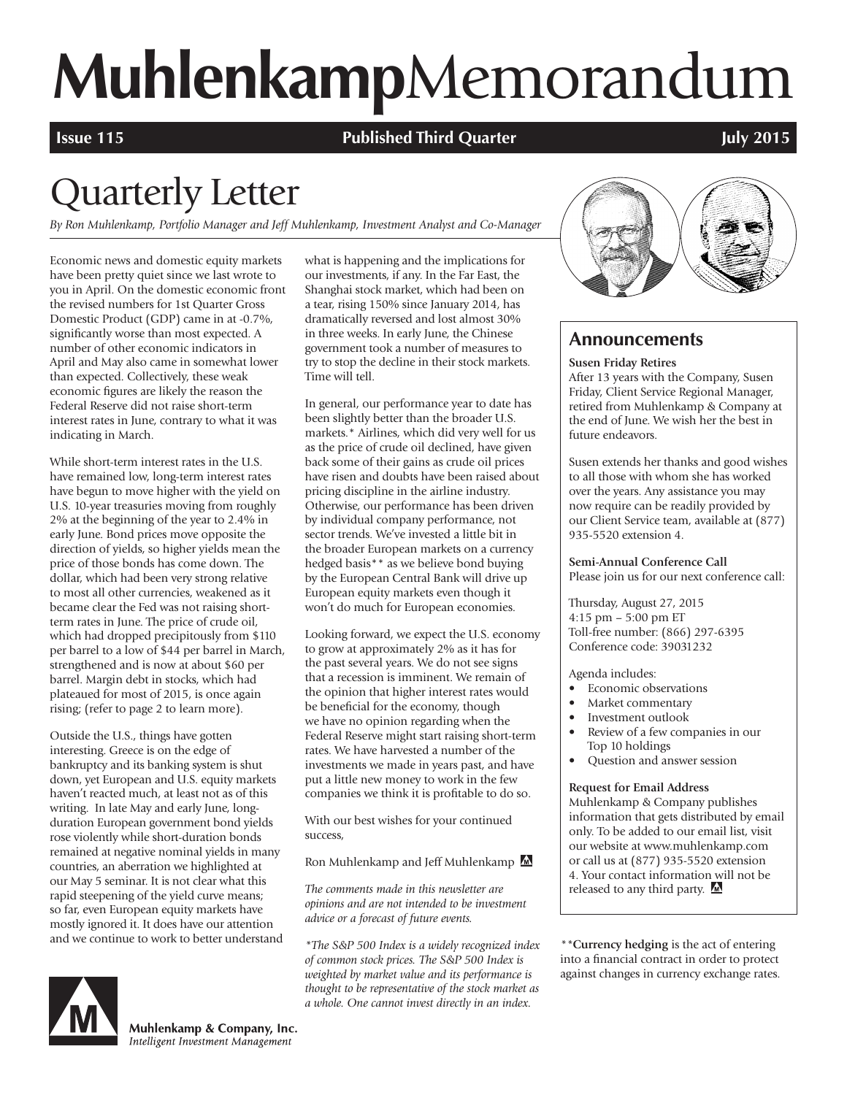# **Muhlenkamp**Memorandum

**Issue 115 Published Third Quarter COVID-11 <b>Published Third Quarter The COVID-11 MILE 1015** 

## Quarterly Letter

*By Ron Muhlenkamp, Portfolio Manager and Jeff Muhlenkamp, Investment Analyst and Co-Manager*

Economic news and domestic equity markets have been pretty quiet since we last wrote to you in April. On the domestic economic front the revised numbers for 1st Quarter Gross Domestic Product (GDP) came in at -0.7%, significantly worse than most expected. A number of other economic indicators in April and May also came in somewhat lower than expected. Collectively, these weak economic figures are likely the reason the Federal Reserve did not raise short-term interest rates in June, contrary to what it was indicating in March.

While short-term interest rates in the U.S. have remained low, long-term interest rates have begun to move higher with the yield on U.S. 10-year treasuries moving from roughly 2% at the beginning of the year to 2.4% in early June. Bond prices move opposite the direction of yields, so higher yields mean the price of those bonds has come down. The dollar, which had been very strong relative to most all other currencies, weakened as it became clear the Fed was not raising shortterm rates in June. The price of crude oil, which had dropped precipitously from \$110 per barrel to a low of \$44 per barrel in March, strengthened and is now at about \$60 per barrel. Margin debt in stocks, which had plateaued for most of 2015, is once again rising; (refer to page 2 to learn more).

Outside the U.S., things have gotten interesting. Greece is on the edge of bankruptcy and its banking system is shut down, yet European and U.S. equity markets haven't reacted much, at least not as of this writing. In late May and early June, longduration European government bond yields rose violently while short-duration bonds remained at negative nominal yields in many countries, an aberration we highlighted at our May 5 seminar. It is not clear what this rapid steepening of the yield curve means; so far, even European equity markets have mostly ignored it. It does have our attention and we continue to work to better understand



Muhlenkamp & Company, Inc. Intelligent Investment Management

what is happening and the implications for our investments, if any. In the Far East, the Shanghai stock market, which had been on a tear, rising 150% since January 2014, has dramatically reversed and lost almost 30% in three weeks. In early June, the Chinese government took a number of measures to try to stop the decline in their stock markets. Time will tell.

In general, our performance year to date has been slightly better than the broader U.S. markets.\* Airlines, which did very well for us as the price of crude oil declined, have given back some of their gains as crude oil prices have risen and doubts have been raised about pricing discipline in the airline industry. Otherwise, our performance has been driven by individual company performance, not sector trends. We've invested a little bit in the broader European markets on a currency hedged basis\*\* as we believe bond buying by the European Central Bank will drive up European equity markets even though it won't do much for European economies.

Looking forward, we expect the U.S. economy to grow at approximately 2% as it has for the past several years. We do not see signs that a recession is imminent. We remain of the opinion that higher interest rates would be beneficial for the economy, though we have no opinion regarding when the Federal Reserve might start raising short-term rates. We have harvested a number of the investments we made in years past, and have put a little new money to work in the few companies we think it is profitable to do so.

With our best wishes for your continued success,

Ron Muhlenkamp and Jeff Muhlenkamp

*The comments made in this newsletter are opinions and are not intended to be investment advice or a forecast of future events.*

*\*The S&P 500 Index is a widely recognized index of common stock prices. The S&P 500 Index is weighted by market value and its performance is thought to be representative of the stock market as a whole. One cannot invest directly in an index.*



### **Announcements**

#### **Susen Friday Retires**

After 13 years with the Company, Susen Friday, Client Service Regional Manager, retired from Muhlenkamp & Company at the end of June. We wish her the best in future endeavors.

Susen extends her thanks and good wishes to all those with whom she has worked over the years. Any assistance you may now require can be readily provided by our Client Service team, available at (877) 935-5520 extension 4.

**Semi-Annual Conference Call** Please join us for our next conference call:

Thursday, August 27, 2015 4:15 pm – 5:00 pm ET Toll-free number: (866) 297-6395 Conference code: 39031232

Agenda includes:

- Economic observations
- Market commentary
- Investment outlook
- Review of a few companies in our Top 10 holdings
- Question and answer session

#### **Request for Email Address**

Muhlenkamp & Company publishes information that gets distributed by email only. To be added to our email list, visit our website at www.muhlenkamp.com or call us at (877) 935-5520 extension 4. Your contact information will not be released to any third party.

*\*\****Currency hedging** is the act of entering into a financial contract in order to protect against changes in currency exchange rates.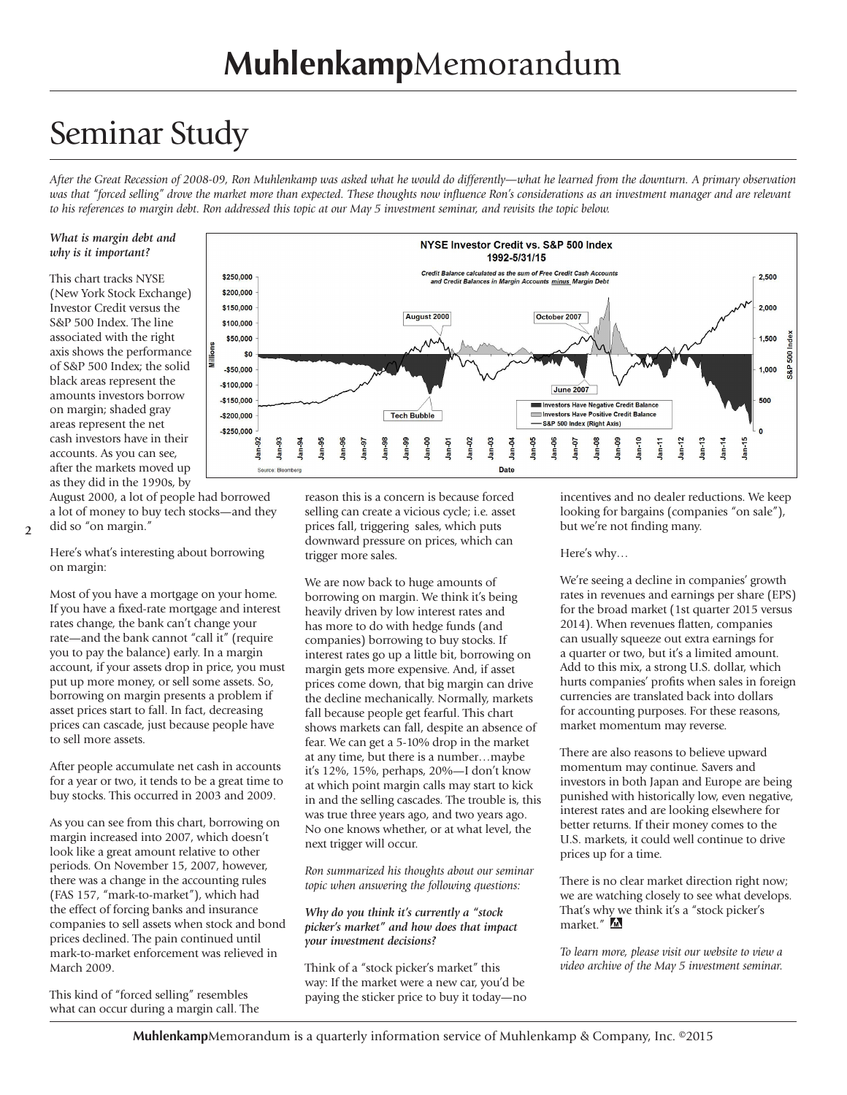### Seminar Study

*After the Great Recession of 2008-09, Ron Muhlenkamp was asked what he would do differently—what he learned from the downturn. A primary observation*  was that "forced selling" drove the market more than expected. These thoughts now influence Ron's considerations as an investment manager and are relevant *to his references to margin debt. Ron addressed this topic at our May 5 investment seminar, and revisits the topic below.*

**August 2000** 

NYSE Investor Credit vs. S&P 500 Index 1992-5/31/15 **Credit Balance calculated as the sum of Free Credit Cash Accour<br>and Credit Balances in Margin Accounts minus Margin Debt** 

Ė

Date

October 2007

**June 2007** 

nvestors Have Negative Credit Balanc

 $Jan-10$ 

Investors Have Positive Credit Balance S&P 500 Index (Right Axis)

#### *What is margin debt and why is it important?*

This chart tracks NYSE (New York Stock Exchange) Investor Credit versus the S&P 500 Index. The line associated with the right axis shows the performance of S&P 500 Index; the solid black areas represent the amounts investors borrow on margin; shaded gray areas represent the net cash investors have in their accounts. As you can see, after the markets moved up as they did in the 1990s, by

August 2000, a lot of people had borrowed a lot of money to buy tech stocks—and they did so "on margin."

\$250,000

\$200,000 \$150,000

\$100,000

\$50,000 \$0

 $-$50,000$ 

 $-$100,000$ 

 $-$150.000$ 

 $-$ \$200.000

 $-$ \$250.000

<u>is</u> ġ

Source: Blog

**2**

Here's what's interesting about borrowing on margin:

Most of you have a mortgage on your home. If you have a fixed-rate mortgage and interest rates change, the bank can't change your rate—and the bank cannot "call it" (require you to pay the balance) early. In a margin account, if your assets drop in price, you must put up more money, or sell some assets. So, borrowing on margin presents a problem if asset prices start to fall. In fact, decreasing prices can cascade, just because people have to sell more assets.

After people accumulate net cash in accounts for a year or two, it tends to be a great time to buy stocks. This occurred in 2003 and 2009.

As you can see from this chart, borrowing on margin increased into 2007, which doesn't look like a great amount relative to other periods. On November 15, 2007, however, there was a change in the accounting rules (FAS 157, "mark-to-market"), which had the effect of forcing banks and insurance companies to sell assets when stock and bond prices declined. The pain continued until mark-to-market enforcement was relieved in March 2009.

This kind of "forced selling" resembles what can occur during a margin call. The



**Tech Bubble** 

We are now back to huge amounts of borrowing on margin. We think it's being heavily driven by low interest rates and has more to do with hedge funds (and companies) borrowing to buy stocks. If interest rates go up a little bit, borrowing on margin gets more expensive. And, if asset prices come down, that big margin can drive the decline mechanically. Normally, markets fall because people get fearful. This chart shows markets can fall, despite an absence of fear. We can get a 5-10% drop in the market at any time, but there is a number…maybe it's 12%, 15%, perhaps, 20%—I don't know at which point margin calls may start to kick in and the selling cascades. The trouble is, this was true three years ago, and two years ago. No one knows whether, or at what level, the next trigger will occur.

*Ron summarized his thoughts about our seminar topic when answering the following questions:* 

#### *Why do you think it's currently a "stock picker's market" and how does that impact your investment decisions?*

Think of a "stock picker's market" this way: If the market were a new car, you'd be paying the sticker price to buy it today—no

incentives and no dealer reductions. We keep looking for bargains (companies "on sale"), but we're not finding many.

 $am-13$ Jan-14 2,500

 $2,000$ 

1,500

1.000

500

 $\overline{\mathbf{0}}$ Jan-15

500  $58$ 

#### Here's why…

We're seeing a decline in companies' growth rates in revenues and earnings per share (EPS) for the broad market (1st quarter 2015 versus 2014). When revenues flatten, companies can usually squeeze out extra earnings for a quarter or two, but it's a limited amount. Add to this mix, a strong U.S. dollar, which hurts companies' profits when sales in foreign currencies are translated back into dollars for accounting purposes. For these reasons, market momentum may reverse.

There are also reasons to believe upward momentum may continue. Savers and investors in both Japan and Europe are being punished with historically low, even negative, interest rates and are looking elsewhere for better returns. If their money comes to the U.S. markets, it could well continue to drive prices up for a time.

There is no clear market direction right now; we are watching closely to see what develops. That's why we think it's a "stock picker's market."

*To learn more, please visit our website to view a video archive of the May 5 investment seminar.*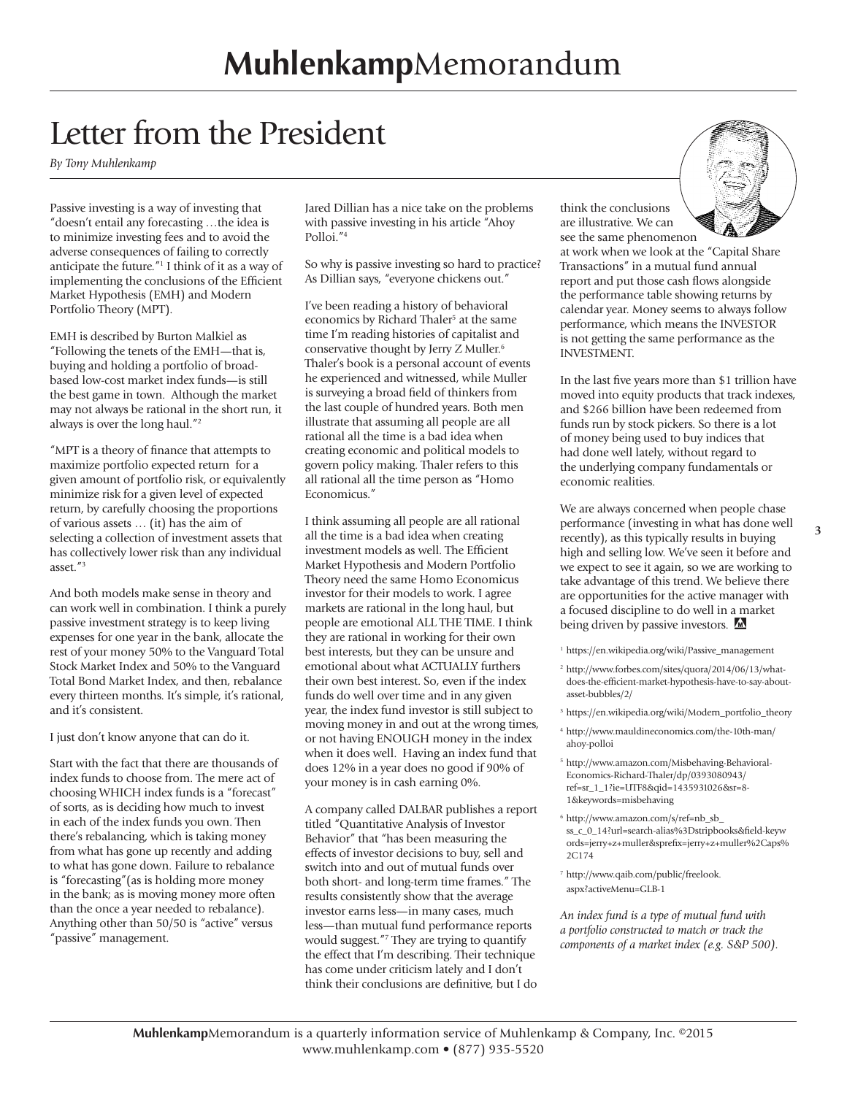### Letter from the President

*By Tony Muhlenkamp*

Passive investing is a way of investing that "doesn't entail any forecasting …the idea is to minimize investing fees and to avoid the adverse consequences of failing to correctly anticipate the future."1 I think of it as a way of implementing the conclusions of the Efficient Market Hypothesis (EMH) and Modern Portfolio Theory (MPT).

EMH is described by Burton Malkiel as "Following the tenets of the EMH—that is, buying and holding a portfolio of broadbased low-cost market index funds—is still the best game in town. Although the market may not always be rational in the short run, it always is over the long haul."2

"MPT is a theory of finance that attempts to maximize portfolio expected return for a given amount of portfolio risk, or equivalently minimize risk for a given level of expected return, by carefully choosing the proportions of various assets … (it) has the aim of selecting a collection of investment assets that has collectively lower risk than any individual asset."3

And both models make sense in theory and can work well in combination. I think a purely passive investment strategy is to keep living expenses for one year in the bank, allocate the rest of your money 50% to the Vanguard Total Stock Market Index and 50% to the Vanguard Total Bond Market Index, and then, rebalance every thirteen months. It's simple, it's rational, and it's consistent.

I just don't know anyone that can do it.

Start with the fact that there are thousands of index funds to choose from. The mere act of choosing WHICH index funds is a "forecast" of sorts, as is deciding how much to invest in each of the index funds you own. Then there's rebalancing, which is taking money from what has gone up recently and adding to what has gone down. Failure to rebalance is "forecasting"(as is holding more money in the bank; as is moving money more often than the once a year needed to rebalance). Anything other than 50/50 is "active" versus "passive" management.

Jared Dillian has a nice take on the problems with passive investing in his article "Ahoy Polloi."4

So why is passive investing so hard to practice? As Dillian says, "everyone chickens out."

I've been reading a history of behavioral economics by Richard Thaler<sup>5</sup> at the same time I'm reading histories of capitalist and conservative thought by Jerry Z Muller.6 Thaler's book is a personal account of events he experienced and witnessed, while Muller is surveying a broad field of thinkers from the last couple of hundred years. Both men illustrate that assuming all people are all rational all the time is a bad idea when creating economic and political models to govern policy making. Thaler refers to this all rational all the time person as "Homo Economicus."

I think assuming all people are all rational all the time is a bad idea when creating investment models as well. The Efficient Market Hypothesis and Modern Portfolio Theory need the same Homo Economicus investor for their models to work. I agree markets are rational in the long haul, but people are emotional ALL THE TIME. I think they are rational in working for their own best interests, but they can be unsure and emotional about what ACTUALLY furthers their own best interest. So, even if the index funds do well over time and in any given year, the index fund investor is still subject to moving money in and out at the wrong times, or not having ENOUGH money in the index when it does well. Having an index fund that does 12% in a year does no good if 90% of your money is in cash earning 0%.

A company called DALBAR publishes a report titled "Quantitative Analysis of Investor Behavior" that "has been measuring the effects of investor decisions to buy, sell and switch into and out of mutual funds over both short- and long-term time frames." The results consistently show that the average investor earns less—in many cases, much less—than mutual fund performance reports would suggest."7 They are trying to quantify the effect that I'm describing. Their technique has come under criticism lately and I don't think their conclusions are definitive, but I do

think the conclusions are illustrative. We can see the same phenomenon



at work when we look at the "Capital Share Transactions" in a mutual fund annual report and put those cash flows alongside the performance table showing returns by calendar year. Money seems to always follow performance, which means the INVESTOR is not getting the same performance as the INVESTMENT.

In the last five years more than \$1 trillion have moved into equity products that track indexes, and \$266 billion have been redeemed from funds run by stock pickers. So there is a lot of money being used to buy indices that had done well lately, without regard to the underlying company fundamentals or economic realities.

We are always concerned when people chase performance (investing in what has done well recently), as this typically results in buying high and selling low. We've seen it before and we expect to see it again, so we are working to take advantage of this trend. We believe there are opportunities for the active manager with a focused discipline to do well in a market being driven by passive investors.

- <sup>1</sup> https://en.wikipedia.org/wiki/Passive\_management
- <sup>2</sup> http://www.forbes.com/sites/quora/2014/06/13/whatdoes-the-efficient-market-hypothesis-have-to-say-aboutasset-bubbles/2/
- <sup>3</sup> https://en.wikipedia.org/wiki/Modern\_portfolio\_theory
- <sup>4</sup> http://www.mauldineconomics.com/the-10th-man/ ahoy-polloi
- <sup>5</sup> http://www.amazon.com/Misbehaving-Behavioral-Economics-Richard-Thaler/dp/0393080943/ ref=sr\_1\_1?ie=UTF8&qid=1435931026&sr=8- 1&keywords=misbehaving
- <sup>6</sup> http://www.amazon.com/s/ref=nb\_sb\_ ss\_c\_0\_14?url=search-alias%3Dstripbooks&field-keyw ords=jerry+z+muller&sprefix=jerry+z+muller%2Caps% 2C174
- <sup>7</sup> http://www.qaib.com/public/freelook. aspx?activeMenu=GLB-1

*An index fund is a type of mutual fund with a portfolio constructed to match or track the components of a market index (e.g. S&P 500).*